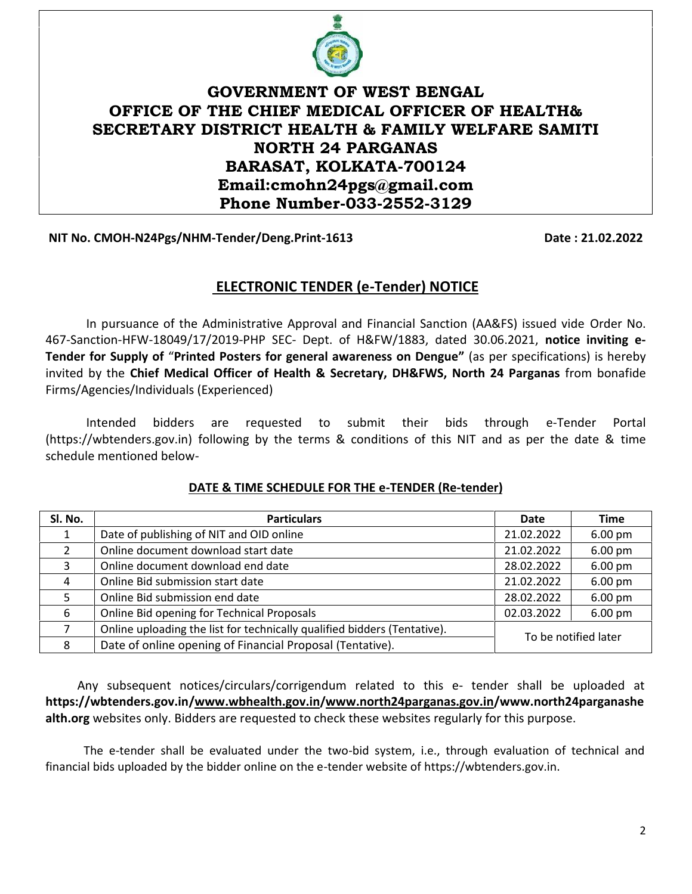

## **GOVERNMENT OF WEST BENGAL OFFICE OF THE CHIEF MEDICAL OFFICER OF HEALTH& SECRETARY DISTRICT HEALTH & FAMILY WELFARE SAMITI NORTH 24 PARGANAS BARASAT, KOLKATA-700124 Email:cmohn24pgs@gmail.com Phone Number-033-2552-3129**

#### **NIT No. CMOH-N24Pgs/NHM-Tender/Deng.Print-1613 Date : 21.02.2022**

### **ELECTRONIC TENDER (e-Tender) NOTICE**

In pursuance of the Administrative Approval and Financial Sanction (AA&FS) issued vide Order No. 467-Sanction-HFW-18049/17/2019-PHP SEC- Dept. of H&FW/1883, dated 30.06.2021, **notice inviting e- Tender for Supply of** "**Printed Posters for general awareness on Dengue"** (as per specifications) is hereby invited by the **Chief Medical Officer of Health & Secretary, DH&FWS, North 24 Parganas** from bonafide Firms/Agencies/Individuals (Experienced)

Intended bidders are requested to submit their bids through e-Tender Portal (https://wbtenders.gov.in) following by the terms & conditions of this NIT and as per the date & time schedule mentioned below-

| Sl. No. | <b>Particulars</b><br>Date                                               |                      | <b>Time</b>       |
|---------|--------------------------------------------------------------------------|----------------------|-------------------|
|         | Date of publishing of NIT and OID online<br>21.02.2022                   |                      | $6.00 \text{ pm}$ |
| 2       | Online document download start date<br>21.02.2022                        |                      | $6.00 \text{ pm}$ |
| 3       | Online document download end date<br>28.02.2022                          |                      | $6.00 \text{ pm}$ |
| 4       | Online Bid submission start date<br>21.02.2022                           |                      | $6.00 \text{ pm}$ |
|         | Online Bid submission end date<br>28.02.2022                             |                      | $6.00 \text{ pm}$ |
| 6       | Online Bid opening for Technical Proposals<br>02.03.2022                 |                      | $6.00 \text{ pm}$ |
|         | Online uploading the list for technically qualified bidders (Tentative). | To be notified later |                   |
| 8       | Date of online opening of Financial Proposal (Tentative).                |                      |                   |

#### **DATE & TIME SCHEDULE FOR THE e-TENDER (Re-tender)**

Any subsequent notices/circulars/corrigendum related to this e- tender shall be uploaded at **https://wbtenders.gov.in/www.wbhealth.gov.in/www.north24parganas.gov.in/www.north24parganashe alth.org** websites only. Bidders are requested to check these websites regularly for this purpose.

The e-tender shall be evaluated under the two-bid system, i.e., through evaluation of technical and financial bids uploaded by the bidder online on the e-tender website of https://wbtenders.gov.in.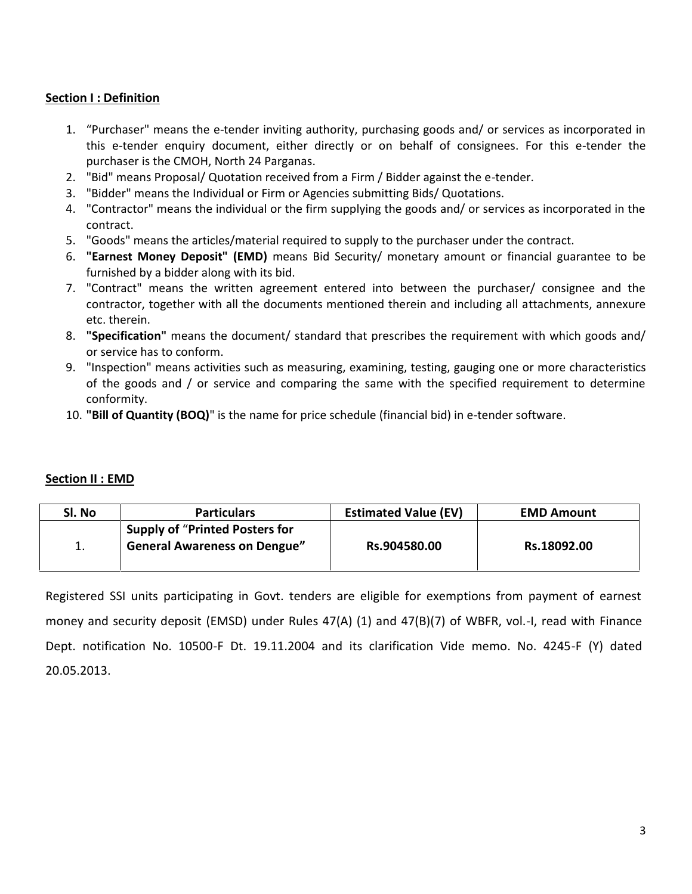#### **Section I : Definition**

- 1. "Purchaser" means the e-tender inviting authority, purchasing goods and/ or services as incorporated in this e-tender enquiry document, either directly or on behalf of consignees. For this e-tender the purchaser is the CMOH, North 24 Parganas.
- 2. "Bid" means Proposal/ Quotation received from a Firm / Bidder against the e-tender.
- 3. "Bidder" means the Individual or Firm or Agencies submitting Bids/ Quotations.
- 4. "Contractor" means the individual or the firm supplying the goods and/ or services as incorporated in the contract.
- 5. "Goods" means the articles/material required to supply to the purchaser under the contract.
- 6. **"Earnest Money Deposit" (EMD)** means Bid Security/ monetary amount or financial guarantee to be furnished by a bidder along with its bid.
- 7. "Contract" means the written agreement entered into between the purchaser/ consignee and the contractor, together with all the documents mentioned therein and including all attachments, annexure etc. therein.
- 8. **"Specification"** means the document/ standard that prescribes the requirement with which goods and/ or service has to conform.
- 9. "Inspection" means activities such as measuring, examining, testing, gauging one or more characteristics of the goods and / or service and comparing the same with the specified requirement to determine conformity.
- 10. **"Bill of Quantity (BOQ)**" is the name for price schedule (financial bid) in e-tender software.

#### **Section II : EMD**

| Sl. No | <b>Particulars</b>                                                           | <b>Estimated Value (EV)</b> | <b>EMD Amount</b> |
|--------|------------------------------------------------------------------------------|-----------------------------|-------------------|
| 1.     | <b>Supply of "Printed Posters for</b><br><b>General Awareness on Dengue"</b> | Rs.904580.00                | Rs.18092.00       |

Registered SSI units participating in Govt. tenders are eligible for exemptions from payment of earnest money and security deposit (EMSD) under Rules 47(A) (1) and 47(B)(7) of WBFR, vol.-I, read with Finance Dept. notification No. 10500-F Dt. 19.11.2004 and its clarification Vide memo. No. 4245-F (Y) dated 20.05.2013.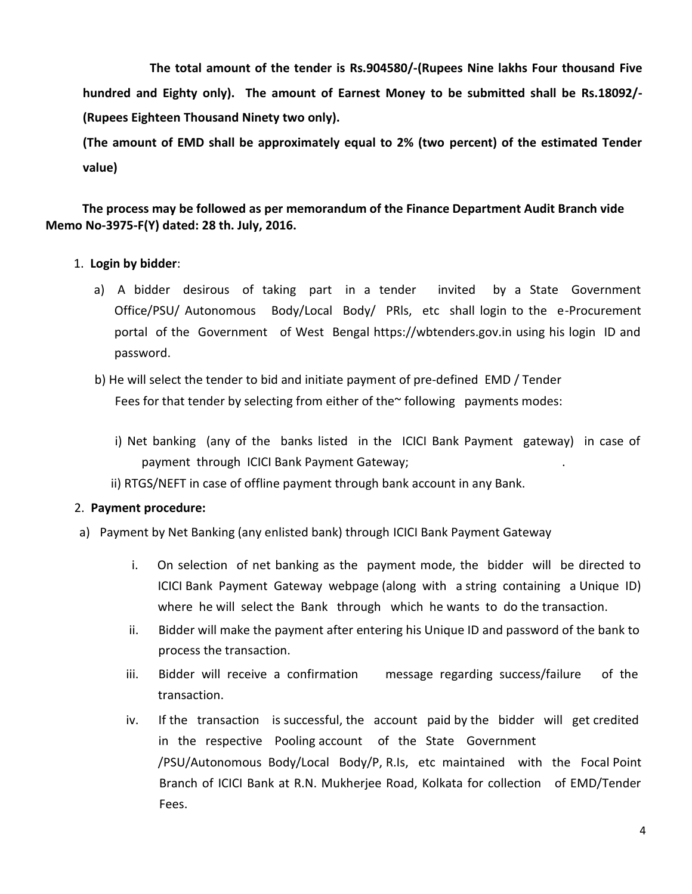**The total amount of the tender is Rs.904580/-(Rupees Nine lakhs Four thousand Five hundred and Eighty only). The amount of Earnest Money to be submitted shall be Rs.18092/- (Rupees Eighteen Thousand Ninety two only).**

**(The amount of EMD shall be approximately equal to 2% (two percent) of the estimated Tender value)**

**The process may be followed as per memorandum of the Finance Department Audit Branch vide Memo No-3975-F(Y) dated: 28 th. July, 2016.**

#### 1. **Login by bidder**:

- a) A bidder desirous of taking part in a tender invited by a State Government Office/PSU/ Autonomous Body/Local Body/ PRls, etc shall login to the e-Procurement portal of the Government of West Bengal https://wbtenders.gov.in using his login ID and password.
- b) He will select the tender to bid and initiate payment of pre-defined EMD / Tender Fees for that tender by selecting from either of the $\sim$  following payments modes:
	- i) Net banking (any of the banks listed in the ICICI Bank Payment gateway) in case of payment through ICICI Bank Payment Gateway; .
	- ii) RTGS/NEFT in case of offline payment through bank account in any Bank.

#### 2. **Payment procedure:**

- a) Payment by Net Banking (any enlisted bank) through ICICI Bank Payment Gateway
	- i. On selection of net banking as the payment mode, the bidder will be directed to ICICI Bank Payment Gateway webpage (along with a string containing a Unique ID) where he will select the Bank through which he wants to do the transaction.
	- ii. Bidder will make the payment after entering his Unique ID and password of the bank to process the transaction.
	- iii. Bidder will receive a confirmation message regarding success/failure of the transaction.
	- iv. If the transaction is successful, the account paid by the bidder will get credited in the respective Pooling account of the State Government /PSU/Autonomous Body/Local Body/P, R.Is, etc maintained with the Focal Point Branch of ICICI Bank at R.N. Mukherjee Road, Kolkata for collection of EMD/Tender Fees.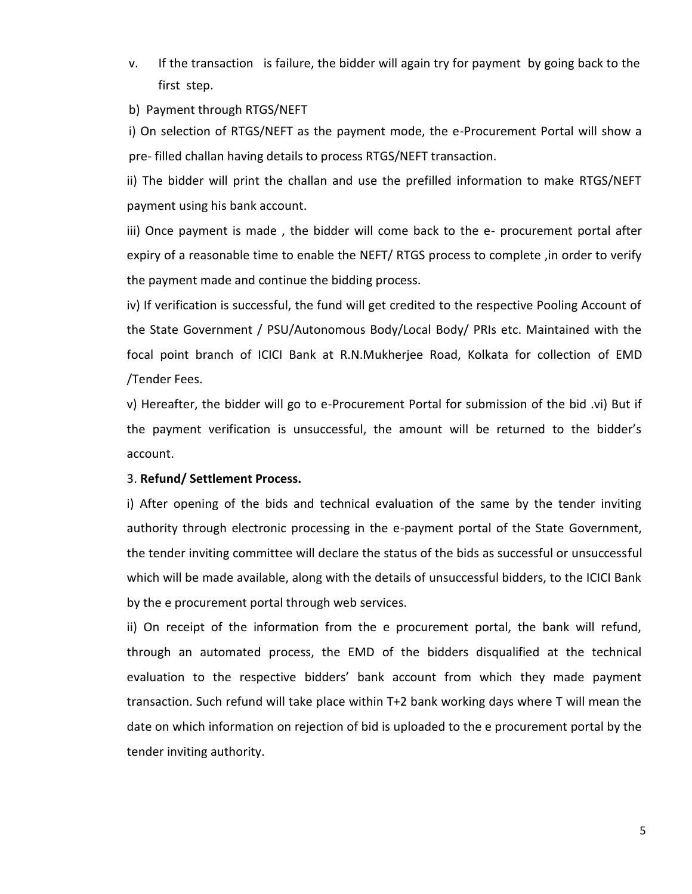v. If the transaction is failure, the bidder will again try for payment by going back to the first step.

b) Payment through RTGS/NEFT

i) On selection of RTGS/NEFT as the payment mode, the e-Procurement Portal will show a pre- filled challan having details to process RTGS/NEFT transaction.

ii) The bidder will print the challan and use the prefilled information to make RTGS/NEFT payment using his bank account.

iii) Once payment is made , the bidder will come back to the e- procurement portal after expiry of a reasonable time to enable the NEFT/ RTGS process to complete ,in order to verify the payment made and continue the bidding process.

iv) If verification is successful, the fund will get credited to the respective Pooling Account of the State Government / PSU/Autonomous Body/Local Body/ PRIs etc. Maintained with the focal point branch of ICICI Bank at R.N.Mukherjee Road, Kolkata for collection of EMD /Tender Fees.

v) Hereafter, the bidder will go to e-Procurement Portal for submission of the bid .vi) But if the payment verification is unsuccessful, the amount will be returned to the bidder's account.

#### 3. **Refund/ Settlement Process.**

i) After opening of the bids and technical evaluation of the same by the tender inviting authority through electronic processing in the e-payment portal of the State Government, the tender inviting committee will declare the status of the bids as successful or unsuccessful which will be made available, along with the details of unsuccessful bidders, to the ICICI Bank by the e procurement portal through web services.

ii) On receipt of the information from the e procurement portal, the bank will refund, through an automated process, the EMD of the bidders disqualified at the technical evaluation to the respective bidders' bank account from which they made payment transaction. Such refund will take place within T+2 bank working days where T will mean the date on which information on rejection of bid is uploaded to the e procurement portal by the tender inviting authority.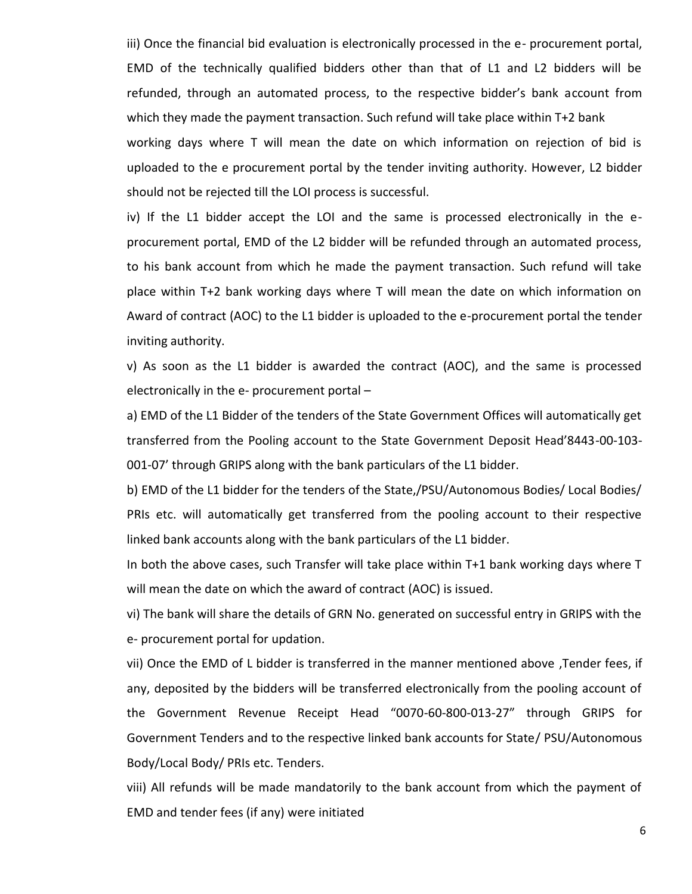iii) Once the financial bid evaluation is electronically processed in the e- procurement portal, EMD of the technically qualified bidders other than that of L1 and L2 bidders will be refunded, through an automated process, to the respective bidder's bank account from which they made the payment transaction. Such refund will take place within T+2 bank working days where T will mean the date on which information on rejection of bid is uploaded to the e procurement portal by the tender inviting authority. However, L2 bidder should not be rejected till the LOI process is successful.

iv) If the L1 bidder accept the LOI and the same is processed electronically in the e procurement portal, EMD of the L2 bidder will be refunded through an automated process, to his bank account from which he made the payment transaction. Such refund will take place within T+2 bank working days where T will mean the date on which information on Award of contract (AOC) to the L1 bidder is uploaded to the e-procurement portal the tender inviting authority.

v) As soon as the L1 bidder is awarded the contract (AOC), and the same is processed electronically in the e- procurement portal –

a) EMD of the L1 Bidder of the tenders of the State Government Offices will automatically get transferred from the Pooling account to the State Government Deposit Head'8443-00-103- 001-07' through GRIPS along with the bank particulars of the L1 bidder.

b) EMD of the L1 bidder for the tenders of the State,/PSU/Autonomous Bodies/ Local Bodies/ PRIs etc. will automatically get transferred from the pooling account to their respective linked bank accounts along with the bank particulars of the L1 bidder.

In both the above cases, such Transfer will take place within T+1 bank working days where T will mean the date on which the award of contract (AOC) is issued.

vi) The bank will share the details of GRN No. generated on successful entry in GRIPS with the e- procurement portal for updation.

vii) Once the EMD of L bidder is transferred in the manner mentioned above ,Tender fees, if any, deposited by the bidders will be transferred electronically from the pooling account of the Government Revenue Receipt Head "0070-60-800-013-27" through GRIPS for Government Tenders and to the respective linked bank accounts for State/ PSU/Autonomous Body/Local Body/ PRIs etc. Tenders.

viii) All refunds will be made mandatorily to the bank account from which the payment of EMD and tender fees (if any) were initiated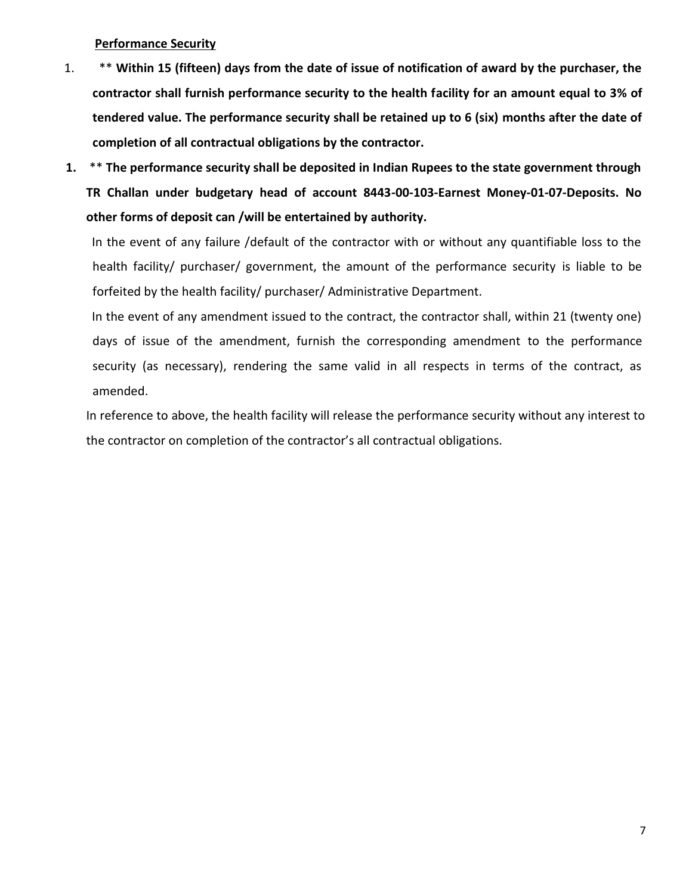**Performance Security**

- 1. \*\* **Within 15 (fifteen) days from the date of issue of notification of award by the purchaser, the contractor shall furnish performance security to the health facility for an amount equal to 3% of tendered value. The performance security shall be retained up to 6 (six) months after the date of completion of all contractual obligations by the contractor.**
- **1.** \*\* **The performance security shall be deposited in Indian Rupees to the state government through TR Challan under budgetary head of account 8443-00-103-Earnest Money-01-07-Deposits. No other forms of deposit can /will be entertained by authority.**

In the event of any failure /default of the contractor with or without any quantifiable loss to the health facility/ purchaser/ government, the amount of the performance security is liable to be forfeited by the health facility/ purchaser/ Administrative Department.

In the event of any amendment issued to the contract, the contractor shall, within 21 (twenty one) days of issue of the amendment, furnish the corresponding amendment to the performance security (as necessary), rendering the same valid in all respects in terms of the contract, as amended.

In reference to above, the health facility will release the performance security without any interest to the contractor on completion of the contractor's all contractual obligations.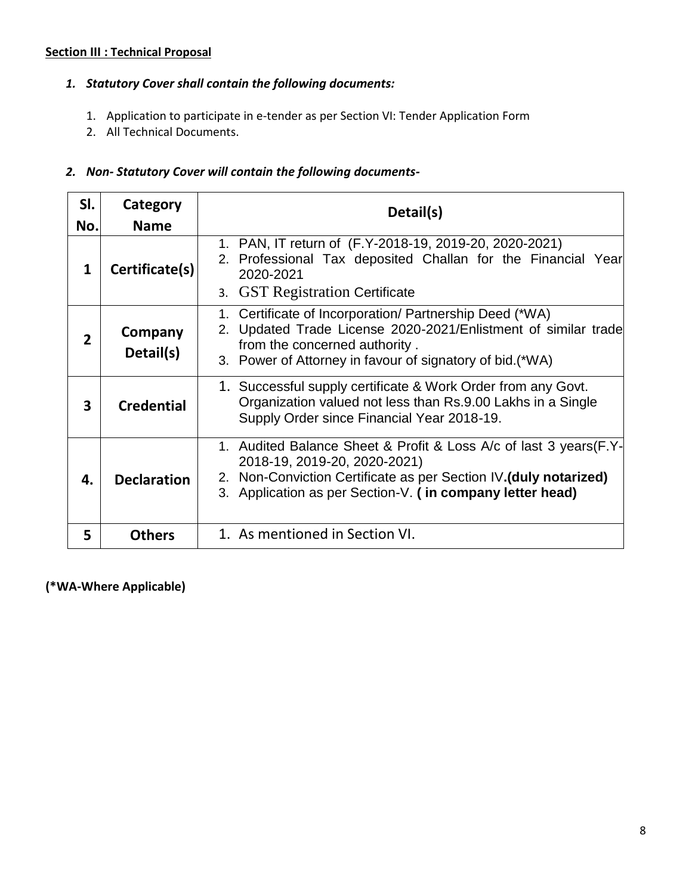#### **Section III : Technical Proposal**

#### *1. Statutory Cover shall contain the following documents:*

- 1. Application to participate in e-tender as per Section VI: Tender Application Form
- 2. All Technical Documents.

#### *2. Non- Statutory Cover will contain the following documents-*

| SI.<br>No. | Category<br><b>Name</b> | Detail(s)                                                                                                                                                                                                                            |
|------------|-------------------------|--------------------------------------------------------------------------------------------------------------------------------------------------------------------------------------------------------------------------------------|
| 1          | Certificate(s)          | 1. PAN, IT return of (F.Y-2018-19, 2019-20, 2020-2021)<br>2. Professional Tax deposited Challan for the Financial Year<br>2020-2021<br>3. GST Registration Certificate                                                               |
| 2          | Company<br>Detail(s)    | 1. Certificate of Incorporation/ Partnership Deed (*WA)<br>2. Updated Trade License 2020-2021/Enlistment of similar trade<br>from the concerned authority.<br>3. Power of Attorney in favour of signatory of bid. (*WA)              |
| 3          | <b>Credential</b>       | 1. Successful supply certificate & Work Order from any Govt.<br>Organization valued not less than Rs.9.00 Lakhs in a Single<br>Supply Order since Financial Year 2018-19.                                                            |
| 4.         | <b>Declaration</b>      | 1. Audited Balance Sheet & Profit & Loss A/c of last 3 years (F.Y-<br>2018-19, 2019-20, 2020-2021)<br>2. Non-Conviction Certificate as per Section IV. (duly notarized)<br>3. Application as per Section-V. (in company letter head) |
| 5          | <b>Others</b>           | 1. As mentioned in Section VI.                                                                                                                                                                                                       |

**(\*WA-Where Applicable)**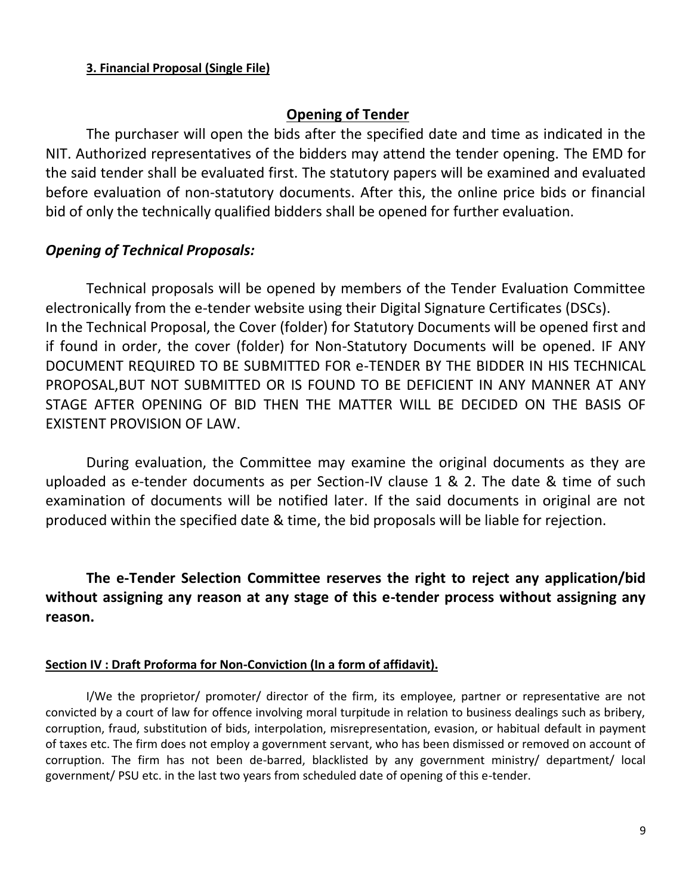#### **3. Financial Proposal (Single File)**

## **Opening of Tender**

The purchaser will open the bids after the specified date and time as indicated in the NIT. Authorized representatives of the bidders may attend the tender opening. The EMD for the said tender shall be evaluated first. The statutory papers will be examined and evaluated before evaluation of non-statutory documents. After this, the online price bids or financial bid of only the technically qualified bidders shall be opened for further evaluation.

## *Opening of Technical Proposals:*

Technical proposals will be opened by members of the Tender Evaluation Committee electronically from the e-tender website using their Digital Signature Certificates (DSCs). In the Technical Proposal, the Cover (folder) for Statutory Documents will be opened first and if found in order, the cover (folder) for Non-Statutory Documents will be opened. IF ANY DOCUMENT REQUIRED TO BE SUBMITTED FOR e-TENDER BY THE BIDDER IN HIS TECHNICAL PROPOSAL,BUT NOT SUBMITTED OR IS FOUND TO BE DEFICIENT IN ANY MANNER AT ANY STAGE AFTER OPENING OF BID THEN THE MATTER WILL BE DECIDED ON THE BASIS OF EXISTENT PROVISION OF LAW.

During evaluation, the Committee may examine the original documents as they are uploaded as e-tender documents as per Section-IV clause 1 & 2. The date & time of such examination of documents will be notified later. If the said documents in original are not produced within the specified date & time, the bid proposals will be liable for rejection.

**The e-Tender Selection Committee reserves the right to reject any application/bid without assigning any reason at any stage of this e-tender process without assigning any reason.**

### **Section IV : Draft Proforma for Non-Conviction (In a form of affidavit).**

I/We the proprietor/ promoter/ director of the firm, its employee, partner or representative are not convicted by a court of law for offence involving moral turpitude in relation to business dealings such as bribery, corruption, fraud, substitution of bids, interpolation, misrepresentation, evasion, or habitual default in payment of taxes etc. The firm does not employ a government servant, who has been dismissed or removed on account of corruption. The firm has not been de-barred, blacklisted by any government ministry/ department/ local government/ PSU etc. in the last two years from scheduled date of opening of this e-tender.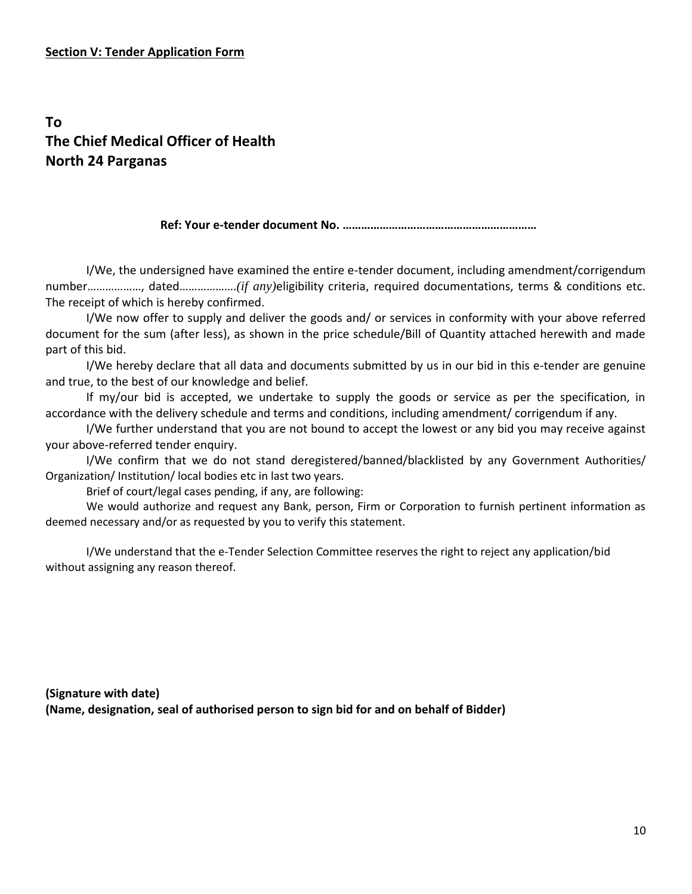## **To The Chief Medical Officer of Health North 24 Parganas**

**Ref: Your e-tender document No. ………………………………………………………**

I/We, the undersigned have examined the entire e-tender document, including amendment/corrigendum number………………, dated……………….*(if any)*eligibility criteria*,* required documentations, terms & conditions etc. The receipt of which is hereby confirmed.

I/We now offer to supply and deliver the goods and/ or services in conformity with your above referred document for the sum (after less), as shown in the price schedule/Bill of Quantity attached herewith and made part of this bid.

I/We hereby declare that all data and documents submitted by us in our bid in this e-tender are genuine and true, to the best of our knowledge and belief.

If my/our bid is accepted, we undertake to supply the goods or service as per the specification, in accordance with the delivery schedule and terms and conditions, including amendment/ corrigendum if any.

I/We further understand that you are not bound to accept the lowest or any bid you may receive against your above-referred tender enquiry.

I/We confirm that we do not stand deregistered/banned/blacklisted by any Government Authorities/ Organization/ Institution/ local bodies etc in last two years.

Brief of court/legal cases pending, if any, are following:

We would authorize and request any Bank, person, Firm or Corporation to furnish pertinent information as deemed necessary and/or as requested by you to verify this statement.

I/We understand that the e-Tender Selection Committee reserves the right to reject any application/bid without assigning any reason thereof.

**(Signature with date) (Name, designation, seal of authorised person to sign bid for and on behalf of Bidder)**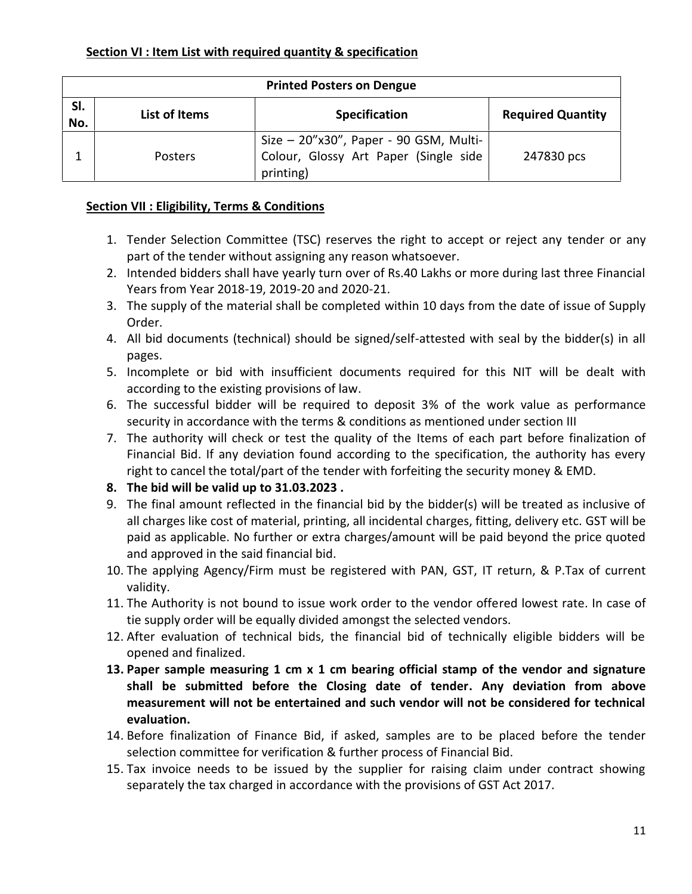| <b>Printed Posters on Dengue</b> |                |                                                                                                  |                          |  |  |
|----------------------------------|----------------|--------------------------------------------------------------------------------------------------|--------------------------|--|--|
| SI.<br>No.                       | List of Items  | <b>Specification</b>                                                                             | <b>Required Quantity</b> |  |  |
|                                  | <b>Posters</b> | Size $-20''x30''$ , Paper - 90 GSM, Multi-<br>Colour, Glossy Art Paper (Single side<br>printing) | 247830 pcs               |  |  |

#### **Section VII : Eligibility, Terms & Conditions**

- 1. Tender Selection Committee (TSC) reserves the right to accept or reject any tender or any part of the tender without assigning any reason whatsoever.
- 2. Intended bidders shall have yearly turn over of Rs.40 Lakhs or more during last three Financial Years from Year 2018-19, 2019-20 and 2020-21.
- 3. The supply of the material shall be completed within 10 days from the date of issue of Supply Order.
- 4. All bid documents (technical) should be signed/self-attested with seal by the bidder(s) in all pages.
- 5. Incomplete or bid with insufficient documents required for this NIT will be dealt with according to the existing provisions of law.
- 6. The successful bidder will be required to deposit 3% of the work value as performance security in accordance with the terms & conditions as mentioned under section III
- 7. The authority will check or test the quality of the Items of each part before finalization of Financial Bid. If any deviation found according to the specification, the authority has every right to cancel the total/part of the tender with forfeiting the security money & EMD.
- **8. The bid will be valid up to 31.03.2023 .**
- 9. The final amount reflected in the financial bid by the bidder(s) will be treated as inclusive of all charges like cost of material, printing, all incidental charges, fitting, delivery etc. GST will be paid as applicable. No further or extra charges/amount will be paid beyond the price quoted and approved in the said financial bid.
- 10. The applying Agency/Firm must be registered with PAN, GST, IT return, & P.Tax of current validity.
- 11. The Authority is not bound to issue work order to the vendor offered lowest rate. In case of tie supply order will be equally divided amongst the selected vendors.
- 12. After evaluation of technical bids, the financial bid of technically eligible bidders will be opened and finalized.
- **13. Paper sample measuring 1 cm x 1 cm bearing official stamp of the vendor and signature shall be submitted before the Closing date of tender. Any deviation from above measurement will not be entertained and such vendor will not be considered for technical evaluation.**
- 14. Before finalization of Finance Bid, if asked, samples are to be placed before the tender selection committee for verification & further process of Financial Bid.
- 15. Tax invoice needs to be issued by the supplier for raising claim under contract showing separately the tax charged in accordance with the provisions of GST Act 2017.